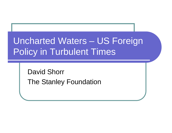# Uncharted Waters – US Foreign Policy in Turbulent Times

David ShorrThe Stanley Foundation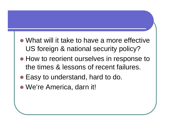- What will it take to have a more effective US foreign & national security policy?
- How to reorient ourselves in response to the times & lessons of recent failures.
- Easy to understand, hard to do.
- We're America, darn it!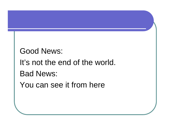Good News:It's not the end of the world.Bad News:

You can see it from here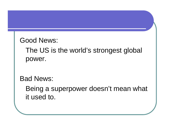Good News:

The US is the world's strongest global power.

Bad News:

Being a superpower doesn't mean what it used to.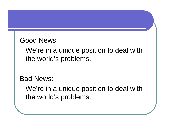Good News:

We're in a unique position to deal with the world's problems.

Bad News:

We're in a unique position to deal with the world's problems.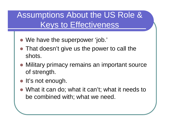#### Assumptions About the US Role & Keys to Effectiveness

- We have the superpower 'job.'
- That doesn't give us the power to call the shots.
- **Military primacy remains an important source** of strength.
- **•** It's not enough.
- What it can do; what it can't; what it needs to be combined with; what we need.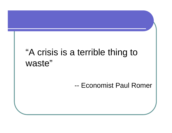# "A crisis is a terrible thing to waste"

#### --Economist Paul Romer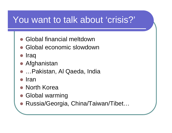## You want to talk about 'crisis?'

- $\bullet$ Global financial meltdown
- Global economic slowdown
- $\bullet$ Iraq
- Afghanistan
- …Pakistan, Al Qaeda, India
- $\bullet$ Iran
- North Korea
- **Global warming**
- Russia/Georgia, China/Taiwan/Tibet...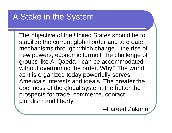#### A Stake in the System

The objective of the United States should be to stabilize the current global order and to create mechanisms through which change—the rise of new powers, economic turmoil, the challenge of groups like Al Qaeda—can be accommodated without overturning the order. Why? The world as it is organized today powerfully serves America's interests and ideals. The greater the openness of the global system, the better the prospects for trade, commerce, contact, pluralism and liberty.

--Fareed Zakaria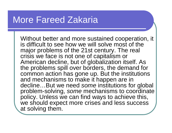#### More Fareed Zakaria

Without better and more sustained cooperation, it is difficult to see how we will solve most of the major problems of the 21st century. The real crisis we face is not one of capitalism or American decline, but of globalization itself. As the problems spill over borders, the demand for common action has gone up. But the institutions and mechanisms to make it happen are in decline…But we need so*me* institutions for global<br>problem eslying, come mechanisme to coordinate problem-solving, *some* mechanisms to coordinate |<br>poliev. Unless we see find weve to sebieve this policy. Unless we can find ways to achieve this, we should expect more crises and less success at solving them.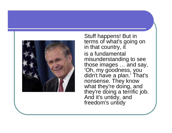

Stuff happens! But in terms of what's going on in that country, it is a fundamental misunderstanding to see those images … and say, 'Oh, my goodness, you<br>didn't have <u>a</u> plan.' That's nonsense. They know what they're doing, and they're doing a terrific job. And it's untidy, and freedom's untidy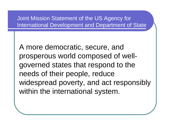Joint Mission Statement of the US Agency for International Development and Department of State

A more democratic, secure, and prosperous world composed of wellgoverned states that respond to the needs of their people, reduce widespread poverty, and act responsibly within the international system.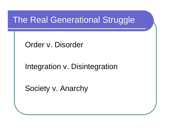#### The Real Generational Struggle

Order v. Disorder

Integration v. Disintegration

Society v. Anarchy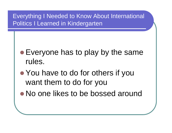Everything I Needed to Know About International Politics I Learned in Kindergarten

- Everyone has to play by the same rules.
- You have to do for others if you want them to do for you
- No one likes to be bossed around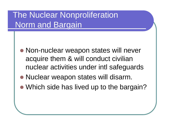### The Nuclear NonproliferationNorm and Bargain

- Non-nuclear weapon states will never acquire them & will conduct civilian nuclear activities under intl safeguards
- Nuclear weapon states will disarm.
- Which side has lived up to the bargain?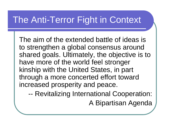## The Anti-Terror Fight in Context

The aim of the extended battle of ideas is to strengthen a global consensus around shared goals. Ultimately, the objective is to have more of the world feel stronger kinship with the United States, in part through a more concerted effort toward increased prosperity and peace.

--Revitalizing International Cooperation:

A Bipartisan Agenda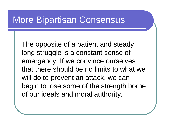#### More Bipartisan Consensus

The opposite of a patient and steady long struggle is a constant sense of emergency. If we convince ourselves that there should be no limits to what we will do to prevent an attack, we can begin to lose some of the strength borne of our ideals and moral authority.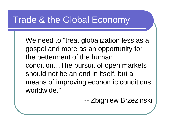#### Trade & the Global Economy

We need to "treat globalization less as a gospel and more as an opportunity for the betterment of the human condition…The pursuit of open markets should not be an end in itself, but a means of improving economic conditions worldwide."

> --Zbigniew Brzezinski